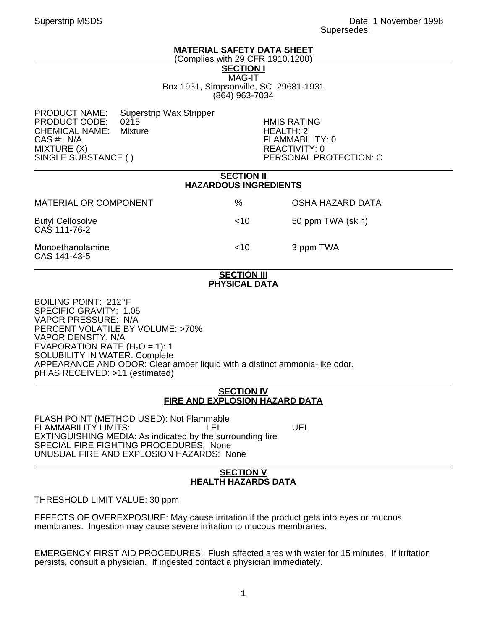# **MATERIAL SAFETY DATA SHEET**

(Complies with 29 CFR 1910.1200)

**SECTION I** MAG-IT Box 1931, Simpsonville, SC 29681-1931 (864) 963-7034

PRODUCT NAME: Superstrip Wax Stripper<br>PRODUCT CODE: 0215 PRODUCT CODE: 0215 HMIS RATING CHEMICAL NAME:<br>CAS #: N/A CAS #: N/A FLAMMABILITY: 0 MIXTURE (X)<br>SINGLE SUBSTANCE ( ) PERSONAL PR

PERSONAL PROTECTION: C

| <b>SECTION II</b><br><b>HAZARDOUS INGREDIENTS</b> |      |                   |
|---------------------------------------------------|------|-------------------|
| <b>MATERIAL OR COMPONENT</b>                      | $\%$ | OSHA HAZARD DATA  |
| <b>Butyl Cellosolve</b><br>CAS 111-76-2           | ~10  | 50 ppm TWA (skin) |
| Monoethanolamine<br>CAS 141-43-5                  | ~10  | 3 ppm TWA         |

#### **SECTION III PHYSICAL DATA**

BOILING POINT: 212°F SPECIFIC GRAVITY: 1.05 VAPOR PRESSURE: N/A PERCENT VOLATILE BY VOLUME: >70% VAPOR DENSITY: N/A EVAPORATION RATE  $(H<sub>2</sub>O = 1)$ : 1 SOLUBILITY IN WATER: Complete APPEARANCE AND ODOR: Clear amber liquid with a distinct ammonia-like odor. pH AS RECEIVED: >11 (estimated)

### **SECTION IV FIRE AND EXPLOSION HAZARD DATA**

FLASH POINT (METHOD USED): Not Flammable FLAMMABILITY LIMITS: LEL LEL UEL EXTINGUISHING MEDIA: As indicated by the surrounding fire SPECIAL FIRE FIGHTING PROCEDURES: None UNUSUAL FIRE AND EXPLOSION HAZARDS: None

# **SECTION V HEALTH HAZARDS DATA**

THRESHOLD LIMIT VALUE: 30 ppm

EFFECTS OF OVEREXPOSURE: May cause irritation if the product gets into eyes or mucous membranes. Ingestion may cause severe irritation to mucous membranes.

EMERGENCY FIRST AID PROCEDURES: Flush affected ares with water for 15 minutes. If irritation persists, consult a physician. If ingested contact a physician immediately.